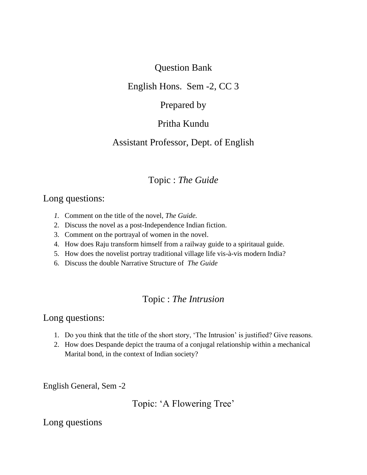### Question Bank

### English Hons. Sem -2, CC 3

### Prepared by

## Pritha Kundu

## Assistant Professor, Dept. of English

## Topic : *The Guide*

### Long questions:

- *1.* Comment on the title of the novel, *The Guide.*
- 2. Discuss the novel as a post-Independence Indian fiction.
- 3. Comment on the portrayal of women in the novel.
- 4. How does Raju transform himself from a railway guide to a spiritaual guide.
- 5. How does the novelist portray traditional village life vis-à-vis modern India?
- 6. Discuss the double Narrative Structure of *The Guide*

# Topic : *The Intrusion*

### Long questions:

- 1. Do you think that the title of the short story, 'The Intrusion' is justified? Give reasons.
- 2. How does Despande depict the trauma of a conjugal relationship within a mechanical Marital bond, in the context of Indian society?

English General, Sem -2

Topic: 'A Flowering Tree'

## Long questions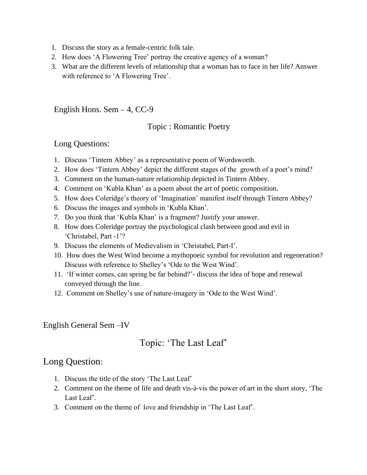- 1. Discuss the story as a female-centric folk tale.
- 2. How does 'A Flowering Tree' portray the creative agency of a woman?
- 3. What are the different levels of relationship that a woman has to face in her life? Answer with reference to 'A Flowering Tree'.

English Hons. Sem  $-4$ , CC-9

#### Topic : Romantic Poetry

#### Long Questions:

- 1. Discuss 'Tintern Abbey' as a representative poem of Wordsworth.
- 2. How does 'Tintern Abbey' depict the different stages of the growth of a poet's mind?
- 3. Comment on the human-nature relationship depicted in Tintern Abbey.
- 4. Comment on 'Kubla Khan' as a poem about the art of poetic composition.
- 5. How does Coleridge's theory of 'Imagination' manifest itself through Tintern Abbey?
- 6. Discuss the images and symbols in 'Kubla Khan'.
- 7. Do you think that 'Kubla Khan' is a fragment? Justify your answer.
- 8. How does Coleridge portray the psychological clash between good and evil in 'Christabel, Part -1'?
- 9. Discuss the elements of Medievalism in 'Christabel, Part-I'.
- 10. How does the West Wind become a mythopoeic symbol for revolution and regeneration? Discuss with reference to Shelley's 'Ode to the West Wind'.
- 11. 'If winter comes, can spring be far behind?'- discuss the idea of hope and renewal conveyed through the line.
- 12. Comment on Shelley's use of nature-imagery in 'Ode to the West Wind'.

#### English General Sem –IV

### Topic: 'The Last Leaf'

#### Long Question:

- 1. Discuss the title of the story 'The Last Leaf'
- 2. Comment on the theme of life and death vis-à-vis the power of art in the short story, 'The Last Leaf'.
- 3. Comment on the theme of love and friendship in 'The Last Leaf'.